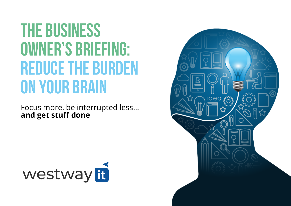# **The business owner's briefing: REDUCE THE BURDEN on your brain**

Focus more, be interrupted less… **and get stuff done**



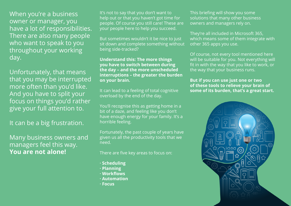When you're a business owner or manager, you have a lot of responsibilities. There are also many people who want to speak to you throughout your working day.

Unfortunately, that means that you may be interrupted more often than you'd like. And you have to split your focus on things you'd rather give your full attention to.

It can be a big frustration.

Many business owners and managers feel this way. **You are not alone!**

It's not to say that you don't want to help out or that you haven't got time for people. Of course you still care! These are your people here to help you succeed.

But sometimes wouldn't it be nice to just sit down and complete something without being side-tracked?

#### **Understand this: The more things you have to switch between during the day – and the more unscheduled interruptions – the greater the burden on your brain.**

It can lead to a feeling of total cognitive overload by the end of the day.

You'll recognise this as getting home in a bit of a daze, and feeling like you don't have enough energy for your family. It's a horrible feeling.

Fortunately, the past couple of years have given us all the productivity tools that we need.

There are five key areas to focus on:

- **· Scheduling**
- **· Planning**
- **· Workflows**
- **· Automation**
- **· Focus**

This briefing will show you some solutions that many other business owners and managers rely on.

They're all included in Microsoft 365, which means some of them integrate with other 365 apps you use.

Of course, not every tool mentioned here will be suitable for you. Not everything will fit in with the way that you like to work, or the way that your business runs.

**But if you can use just one or two of these tools to relieve your brain of some of its burden, that's a great start.**

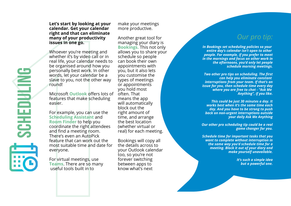Let's start by looking at your calendar. Get your calendar right and that can eliminate many of your productivity **i s s u e s i n o n e g o .**

Whoever you're meeting and whether it's by video call or in real life, your calendar needs to be organised around how you personally best work. In other words, let your calendar be a slave to you, not the other way round!

Microsoft Outlook offers lots of features that make scheduling easier.

For example, you can use the **Scheduling Assistant** and **Room Finder** to help you coordinate the right attendees and find a meeting room. There's even an AutoPick feature that can work out t h e most suitable time and date for everyone.

For virtual meetings, use **Teams**. There are so many useful tools built in to

make your meetings more productive.

calendar. **Get your calendar**<br> **112.** The strain and that can eliminate<br> **113.** The strain and the strain and that can eliminate<br> **114.** The strain of your productivity<br> **118.** Similar and the strain of the strain of the Another great tool f o r managing your diary is **Bookings.** This not only allows you to share your schedule so people c a n b o o k t h eir o w n appointments with you, but it also lets you customise the types of meetings or appointments you hold most often. That means the app will automatically block out the rig h t a m o u n t o f time, and arrange the best location (whether virtual or r e al) f o r e a c h m e e tin g.

Bookings will copy all the details across to your Outlook calendar too, so you're not forever switching between apps to know what's next

### *O u r p r o tip :*

In Bookings set scheduling policies so your entire day's calendar isn't open to other people. For example, if you prefer to meet *in the mornings and focus on other work in* the afternoons, you'd only let people *s c h e d u l e m o rn ing m e e tings .*

*Two* other pro tips on scheduling. The first *can help you eliminate constant* interruptions from your team. If that's an issue for you, then schedule time every day *wh e r e yo u a r e fr e e t o c h a t - "A s k M e A nyth ing ", if yo u like .*

This could be just 30 minutes a day. It *works best when it's the same time each day. And you have to be strong to push* back on non-urgent interruptions outside *yo u r d a ily A s k M e A nyth ing*

Our other pro scheduling tip could be a real *g a m e c h a ng e r fo r yo u .*

Schedule time for important tasks that you want to complete without interruption in *th e s a m e way yo u 'd s c h e d u l e tim e fo r a meeting. Block it out of your diary and make yourself unavailable.* 

> *I t 's s u c h a s im p l e i d e a but a powerful one.*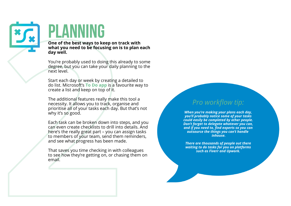# **PLANNI**

**One of the best ways to keep on track with what you need to be focusing on is to plan each day well.**

You're probably used to doing this already to some degree, but you can take your daily planning to the next level.

Start each day or week by creating a detailed to do list. Microsoft's **To Do app** is a favourite way to create a list and keep on top of it.

The additional features really make this tool a necessity. It allows you to track, organise and prioritise all of your tasks each day. But that's not why it's so good.

**22**<br> **23**<br> **23**<br> **23**<br> **24**<br> **24**<br> **24**<br> **24**<br> **24**<br> **24**<br> **24**<br> **24**<br> **24**<br> **24**<br> **24**<br> **24**<br> **24**<br> **24**<br> **24**<br> **24**<br> **24**<br> **24**<br> **24**<br> **24**<br> **24**<br> **24**<br> **24**<br> **24**<br> **24**<br> **24**<br> **24**<br> **24**<br> **24**<br> **24**<br> **24**<br> **24**<br> **24**<br> Each task can be broken down into steps, and you can even create checklists to drill into details. And here's the really great part – you can assign tasks to members of your team, send them reminders, and see what progress has been made.

That saves you time checking in with colleagues to see how they're getting on, or chasing them on email.

# *Pro workflow tip:*

*When you're making your plans each day, you'll probably notice some of your tasks could easily be completed by other people. Don't forget to delegate whatever you can, and if you need to, find experts so you can outsource the things you can't handle inhouse.*

*There are thousands of people out there waiting to do tasks for you on platforms such as Fiverr and Upwork.*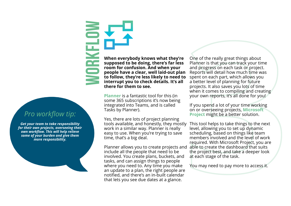*Pro workflow tip:*

**w**

**o**

**r**

**k**

**flo**

**w**

*Get your team to take responsibility for their own projects, overseeing their own workflow. This will help relieve some of your burden and give them more responsibility.*

 **there for them to see. to follow, they're less likely to need to room for confusion. And when your When everybody knows what they're supposed to be doing, there's far less people have a clear, well laid-out plan interrupt you to check details. It's all**

**Planner** is a fantastic tool for this (in some 365 subscriptions it's now being integrated into Teams, and is called Tasks by Planner).

Yes, there are lots of project planning tools available, and honestly, they mostly work in a similar way. Planner is really easy to use. When you're trying to save time, that's a big deal.

Planner allows you to create projects and include all the people that need to be involved. You create plans, buckets, and tasks, and can assign things to people where you need to. Any time you make an update to a plan, the right people are notified, and there's an in-built calendar that lets you see due dates at a glance.

One of the really great things about<br>Planner is that you can track your time<br>and progress on each task or project.<br>**1** Reports will detail how much time was<br>better level of planning for future<br>pojects. It also saves you lo One of the really great things about Planner is that you can track your time and progress on each task or project. Reports will detail how much time was spent on each part, which allows you a better level of planning for future projects. It also saves you lots of time when it comes to compiling and creating your own reports, it's all done for you!

If you spend a lot of your time working on or overseeing projects, **Microsoft Project** might be a better solution.

This tool helps to take things to the next level, allowing you to set up dynamic scheduling, based on things like team members involved and the level of work required. With Microsoft Project, you are able to create the dashboard that suits the project best, and take a deeper look at each stage of the task.

You may need to pay more to access it.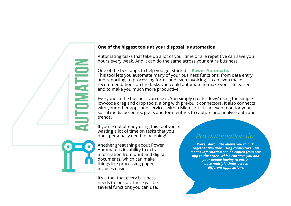## **automati i i i i i i i on**

#### **One of the biggest tools at your disposal is automation.**

Automating tasks that take up a lot of your time or are repetitive can save you hours every week. And it can do the same across your entire business.

One of the best apps to help you get started is **Power Automate.** This tool lets you automate many of your business functions, from data entry and reporting, to processing forms and even invoicing. It can even make recommendations on the tasks you could automate to make your life easier and to make you much more productive.

Everyone in the business can use it. You simply create 'flows' using the simple low-code drag and drop tools, along with pre-built connectors. It also connects with your other apps and services within Microsoft. It can even monitor your social media accounts, posts and form entries to capture and analyse data and trends.

If you're not already using this tool you're wasting a lot of time on tasks that you don't personally need to be doing!

Another great thing about Power Automate is its ability to extract information from print and digital documents, which can make things like processing paper invoices easier. **a one of the biggest tools at your disp**<br>Automating tasks that take up a lot of y<br>hours every week. And it can do the sai<br>This tool lets you automate many of yo<br>and reporting, to processing forms and the mean form and t

It's a tool that every business needs to look at. There will be several functions you can use.

## *Pro automation tip:*

*Power Automate allows you to link together two apps using connectors. This means information can be copied from one app to the other. Which can save you and your people having to enter data multiple times across different applications.*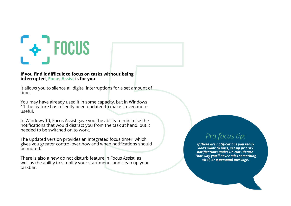

#### **If you find it difficult to focus on tasks without being interrupted, Focus Assist is for you.**

It allows you to silence all digital interruptions for a set amount of time.

You may have already used it in some capacity, but in Windows 11 the feature has recently been updated to make it even more useful.

In Windows 10, Focus Assist gave you the ability to minimise the notifications that would distract you from the task at hand, but it needed to be switched on to work.

The updated version provides an integrated focus timer, which gives you greater control over how and when notifications should be muted.

There is also a new do not disturb feature in Focus Assist, as well as the ability to simplify your start menu, and clean up your taskbar.

# *Pro focus tip:*

**Example 10**<br>
Signality to minimise the<br>
ted to make it even more<br>
the ability to minimise the<br>
com the task at hand, but it<br>
grated focus timer, which<br>
a when notifications should<br>
when notifications should<br>
there miss, s *If there are notifications you really don't want to miss, set up priority notifications under Do Not Disturb. That way you'll never miss something vital, or a personal message.*